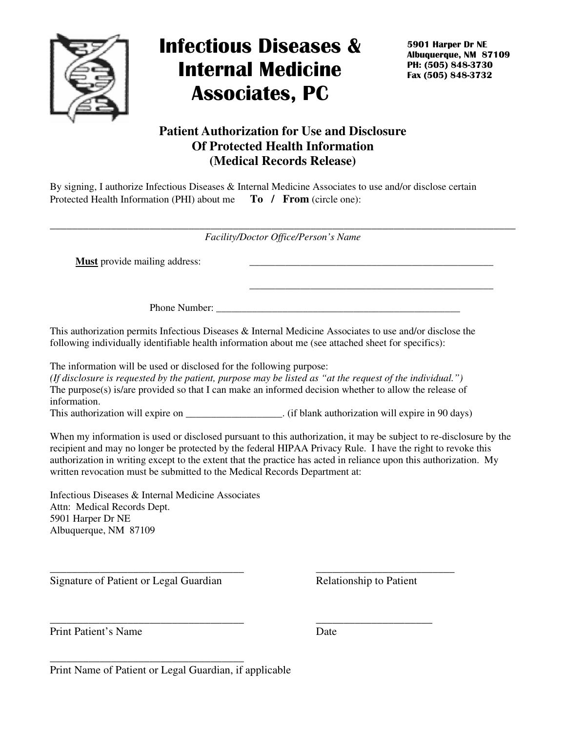

## Infectious Diseases & Internal Medicine Associates, PC

5901 Harper Dr NE Albuquerque, NM 87109 PH: (505) 848-3730 Fax (505) 848-3732

## **Patient Authorization for Use and Disclosure Of Protected Health Information (Medical Records Release)**

By signing, I authorize Infectious Diseases & Internal Medicine Associates to use and/or disclose certain Protected Health Information (PHI) about me **To / From** (circle one):

\_\_\_\_\_\_\_\_\_\_\_\_\_\_\_\_\_\_\_\_\_\_\_\_\_\_\_\_\_\_\_\_\_\_\_\_\_\_\_\_\_\_\_\_\_\_\_\_\_\_\_\_\_\_\_\_\_\_\_\_\_\_\_\_\_\_\_\_\_\_\_\_\_\_\_\_\_\_\_\_\_\_\_\_ *Facility/Doctor Office/Person's Name* 

**Must** provide mailing address:

Phone Number:

This authorization permits Infectious Diseases & Internal Medicine Associates to use and/or disclose the following individually identifiable health information about me (see attached sheet for specifics):

 $\overline{\phantom{a}}$  , and the contract of the contract of the contract of the contract of the contract of the contract of the contract of the contract of the contract of the contract of the contract of the contract of the contrac

The information will be used or disclosed for the following purpose: *(If disclosure is requested by the patient, purpose may be listed as "at the request of the individual.")*  The purpose(s) is/are provided so that I can make an informed decision whether to allow the release of information. This authorization will expire on \_\_\_\_\_\_\_\_\_\_\_\_\_\_\_\_. (if blank authorization will expire in 90 days)

\_\_\_\_\_\_\_\_\_\_\_\_\_\_\_\_\_\_\_\_\_\_\_\_\_\_\_\_\_\_\_\_\_\_\_ \_\_\_\_\_\_\_\_\_\_\_\_\_\_\_\_\_\_\_\_\_\_\_\_\_

When my information is used or disclosed pursuant to this authorization, it may be subject to re-disclosure by the recipient and may no longer be protected by the federal HIPAA Privacy Rule. I have the right to revoke this authorization in writing except to the extent that the practice has acted in reliance upon this authorization. My written revocation must be submitted to the Medical Records Department at:

Infectious Diseases & Internal Medicine Associates Attn: Medical Records Dept. 5901 Harper Dr NE Albuquerque, NM 87109

Signature of Patient or Legal Guardian Relationship to Patient

Print Patient's Name Date

\_\_\_\_\_\_\_\_\_\_\_\_\_\_\_\_\_\_\_\_\_\_\_\_\_\_\_\_\_\_\_\_\_\_\_ \_\_\_\_\_\_\_\_\_\_\_\_\_\_\_\_\_\_\_\_\_

Print Name of Patient or Legal Guardian, if applicable

\_\_\_\_\_\_\_\_\_\_\_\_\_\_\_\_\_\_\_\_\_\_\_\_\_\_\_\_\_\_\_\_\_\_\_